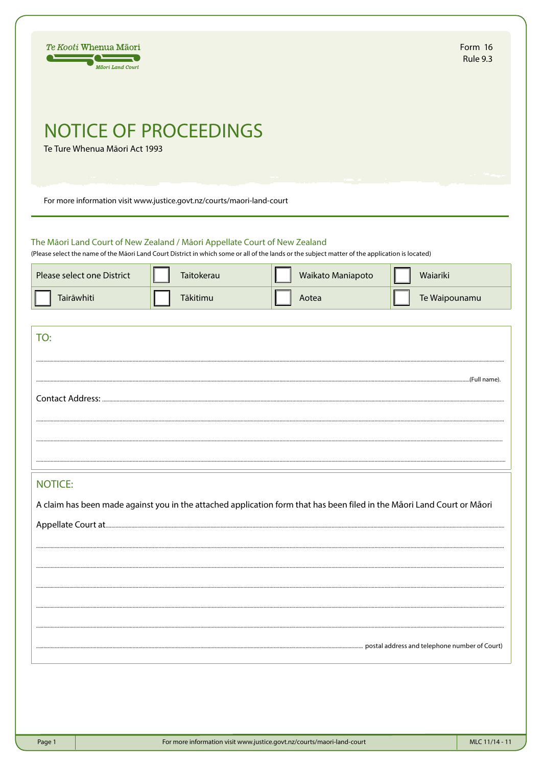| Te Kooti Whenua Māori<br>Māori Land Court                                                                              |                                                                        |                                                                                                                                                                               | Form 16<br><b>Rule 9.3</b> |
|------------------------------------------------------------------------------------------------------------------------|------------------------------------------------------------------------|-------------------------------------------------------------------------------------------------------------------------------------------------------------------------------|----------------------------|
| Te Ture Whenua Māori Act 1993                                                                                          | <b>NOTICE OF PROCEEDINGS</b>                                           |                                                                                                                                                                               |                            |
|                                                                                                                        | For more information visit www.justice.govt.nz/courts/maori-land-court |                                                                                                                                                                               |                            |
| The Māori Land Court of New Zealand / Māori Appellate Court of New Zealand<br>Please select one District<br>Tairāwhiti | Taitokerau<br>Tākitimu                                                 | (Please select the name of the Māori Land Court District in which some or all of the lands or the subject matter of the application is located)<br>Waikato Maniapoto<br>Aotea | Waiariki<br>Te Waipounamu  |
|                                                                                                                        |                                                                        |                                                                                                                                                                               |                            |
| TO:                                                                                                                    |                                                                        |                                                                                                                                                                               |                            |
|                                                                                                                        |                                                                        |                                                                                                                                                                               |                            |
| Contact Address:                                                                                                       |                                                                        |                                                                                                                                                                               |                            |
|                                                                                                                        |                                                                        |                                                                                                                                                                               |                            |
|                                                                                                                        |                                                                        |                                                                                                                                                                               |                            |
| <b>NOTICE:</b>                                                                                                         |                                                                        |                                                                                                                                                                               |                            |
|                                                                                                                        |                                                                        | A claim has been made against you in the attached application form that has been filed in the Māori Land Court or Māori                                                       |                            |
|                                                                                                                        |                                                                        |                                                                                                                                                                               |                            |
|                                                                                                                        |                                                                        |                                                                                                                                                                               |                            |
|                                                                                                                        |                                                                        |                                                                                                                                                                               |                            |
|                                                                                                                        |                                                                        |                                                                                                                                                                               |                            |
|                                                                                                                        |                                                                        |                                                                                                                                                                               |                            |
|                                                                                                                        |                                                                        |                                                                                                                                                                               |                            |